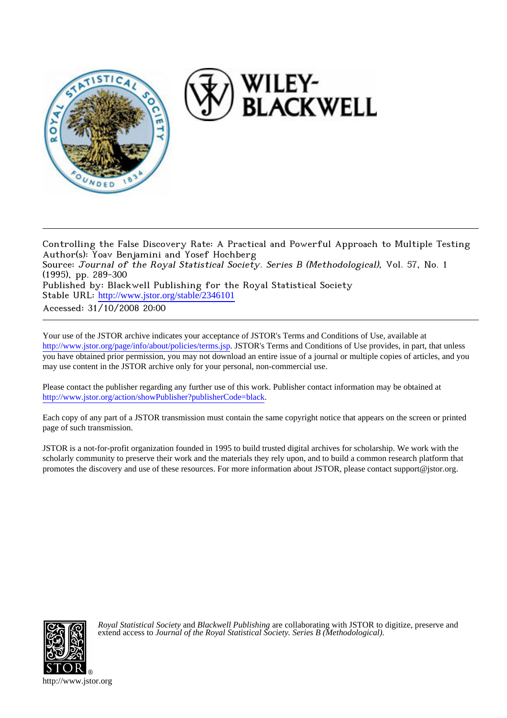



Controlling the False Discovery Rate: A Practical and Powerful Approach to Multiple Testing Author(s): Yoav Benjamini and Yosef Hochberg Source: Journal of the Royal Statistical Society. Series B (Methodological), Vol. 57, No. 1 (1995), pp. 289-300 Published by: Blackwell Publishing for the Royal Statistical Society Stable URL: [http://www.jstor.org/stable/2346101](http://www.jstor.org/stable/2346101?origin=JSTOR-pdf) Accessed: 31/10/2008 20:00

Your use of the JSTOR archive indicates your acceptance of JSTOR's Terms and Conditions of Use, available at <http://www.jstor.org/page/info/about/policies/terms.jsp>. JSTOR's Terms and Conditions of Use provides, in part, that unless you have obtained prior permission, you may not download an entire issue of a journal or multiple copies of articles, and you may use content in the JSTOR archive only for your personal, non-commercial use.

Please contact the publisher regarding any further use of this work. Publisher contact information may be obtained at [http://www.jstor.org/action/showPublisher?publisherCode=black.](http://www.jstor.org/action/showPublisher?publisherCode=black)

Each copy of any part of a JSTOR transmission must contain the same copyright notice that appears on the screen or printed page of such transmission.

JSTOR is a not-for-profit organization founded in 1995 to build trusted digital archives for scholarship. We work with the scholarly community to preserve their work and the materials they rely upon, and to build a common research platform that promotes the discovery and use of these resources. For more information about JSTOR, please contact support@jstor.org.



*Royal Statistical Society* and *Blackwell Publishing* are collaborating with JSTOR to digitize, preserve and extend access to *Journal of the Royal Statistical Society. Series B (Methodological).*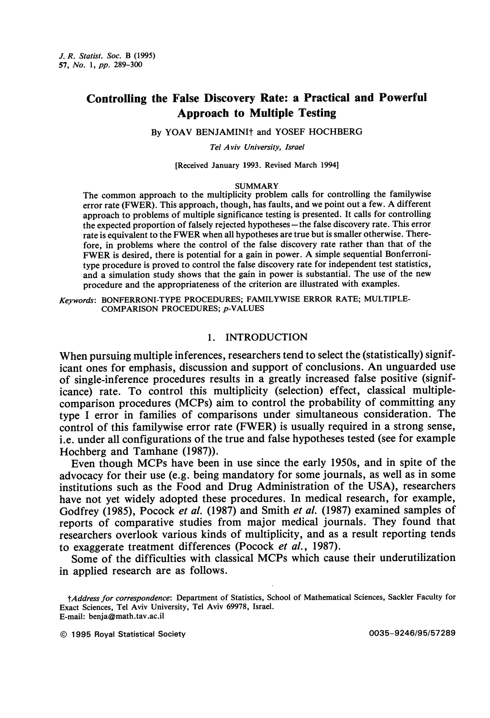# Controlling the False Discovery Rate: a Practical and Powerful **Approach to Multiple Testing**

By YOAV BENJAMINI<sup>†</sup> and YOSEF HOCHBERG

### Tel Aviv University, Israel

[Received January 1993. Revised March 1994]

### **SUMMARY**

The common approach to the multiplicity problem calls for controlling the familywise error rate (FWER). This approach, though, has faults, and we point out a few. A different approach to problems of multiple significance testing is presented. It calls for controlling the expected proportion of falsely rejected hypotheses - the false discovery rate. This error rate is equivalent to the FWER when all hypotheses are true but is smaller otherwise. Therefore, in problems where the control of the false discovery rate rather than that of the FWER is desired, there is potential for a gain in power. A simple sequential Bonferronitype procedure is proved to control the false discovery rate for independent test statistics, and a simulation study shows that the gain in power is substantial. The use of the new procedure and the appropriateness of the criterion are illustrated with examples.

Keywords: BONFERRONI-TYPE PROCEDURES; FAMILYWISE ERROR RATE; MULTIPLE-**COMPARISON PROCEDURES; p-VALUES** 

### 1. INTRODUCTION

When pursuing multiple inferences, researchers tend to select the (statistically) significant ones for emphasis, discussion and support of conclusions. An unguarded use of single-inference procedures results in a greatly increased false positive (significance) rate. To control this multiplicity (selection) effect, classical multiplecomparison procedures (MCPs) aim to control the probability of committing any type I error in families of comparisons under simultaneous consideration. The control of this familywise error rate (FWER) is usually required in a strong sense, i.e. under all configurations of the true and false hypotheses tested (see for example Hochberg and Tamhane (1987)).

Even though MCPs have been in use since the early 1950s, and in spite of the advocacy for their use (e.g. being mandatory for some journals, as well as in some institutions such as the Food and Drug Administration of the USA), researchers have not yet widely adopted these procedures. In medical research, for example, Godfrey (1985), Pocock et al. (1987) and Smith et al. (1987) examined samples of reports of comparative studies from major medical journals. They found that researchers overlook various kinds of multiplicity, and as a result reporting tends to exaggerate treatment differences (Pocock et al., 1987).

Some of the difficulties with classical MCPs which cause their underutilization in applied research are as follows.

© 1995 Royal Statistical Society

0035-9246/95/57289

<sup>†</sup>Address for correspondence: Department of Statistics, School of Mathematical Sciences, Sackler Faculty for Exact Sciences, Tel Aviv University, Tel Aviv 69978, Israel. E-mail: benja@math.tav.ac.il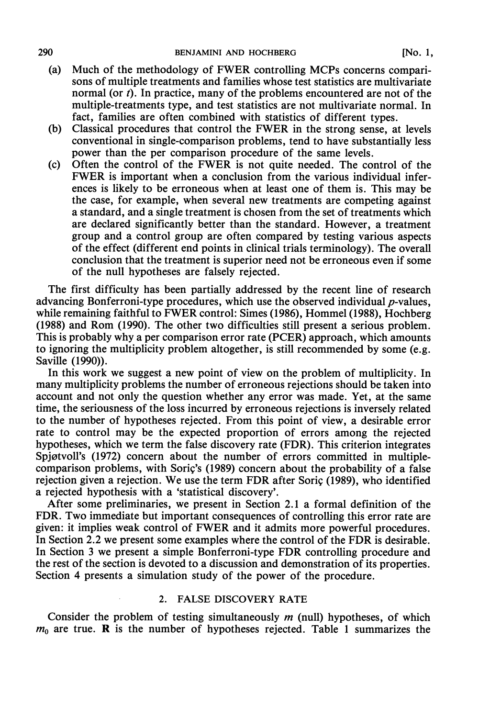- Much of the methodology of FWER controlling MCPs concerns compari- $(a)$ sons of multiple treatments and families whose test statistics are multivariate normal (or  $t$ ). In practice, many of the problems encountered are not of the multiple-treatments type, and test statistics are not multivariate normal. In fact, families are often combined with statistics of different types.
- Classical procedures that control the FWER in the strong sense, at levels  $(b)$ conventional in single-comparison problems, tend to have substantially less power than the per comparison procedure of the same levels.
- $(c)$ Often the control of the FWER is not quite needed. The control of the FWER is important when a conclusion from the various individual inferences is likely to be erroneous when at least one of them is. This may be the case, for example, when several new treatments are competing against a standard, and a single treatment is chosen from the set of treatments which are declared significantly better than the standard. However, a treatment group and a control group are often compared by testing various aspects of the effect (different end points in clinical trials terminology). The overall conclusion that the treatment is superior need not be erroneous even if some of the null hypotheses are falsely rejected.

The first difficulty has been partially addressed by the recent line of research advancing Bonferroni-type procedures, which use the observed individual p-values, while remaining faithful to FWER control: Simes (1986), Hommel (1988), Hochberg (1988) and Rom (1990). The other two difficulties still present a serious problem. This is probably why a per comparison error rate (PCER) approach, which amounts to ignoring the multiplicity problem altogether, is still recommended by some (e.g. Saville (1990)).

In this work we suggest a new point of view on the problem of multiplicity. In many multiplicity problems the number of erroneous rejections should be taken into account and not only the question whether any error was made. Yet, at the same time, the seriousness of the loss incurred by erroneous rejections is inversely related to the number of hypotheses rejected. From this point of view, a desirable error rate to control may be the expected proportion of errors among the rejected hypotheses, which we term the false discovery rate (FDR). This criterion integrates Spjøtvoll's (1972) concern about the number of errors committed in multiplecomparison problems, with Soric's (1989) concern about the probability of a false rejection given a rejection. We use the term FDR after Soric (1989), who identified a rejected hypothesis with a 'statistical discovery'.

After some preliminaries, we present in Section 2.1 a formal definition of the FDR. Two immediate but important consequences of controlling this error rate are given: it implies weak control of FWER and it admits more powerful procedures. In Section 2.2 we present some examples where the control of the FDR is desirable. In Section 3 we present a simple Bonferroni-type FDR controlling procedure and the rest of the section is devoted to a discussion and demonstration of its properties. Section 4 presents a simulation study of the power of the procedure.

#### $2.$ **FALSE DISCOVERY RATE**

Consider the problem of testing simultaneously  $m$  (null) hypotheses, of which  $m_0$  are true. **R** is the number of hypotheses rejected. Table 1 summarizes the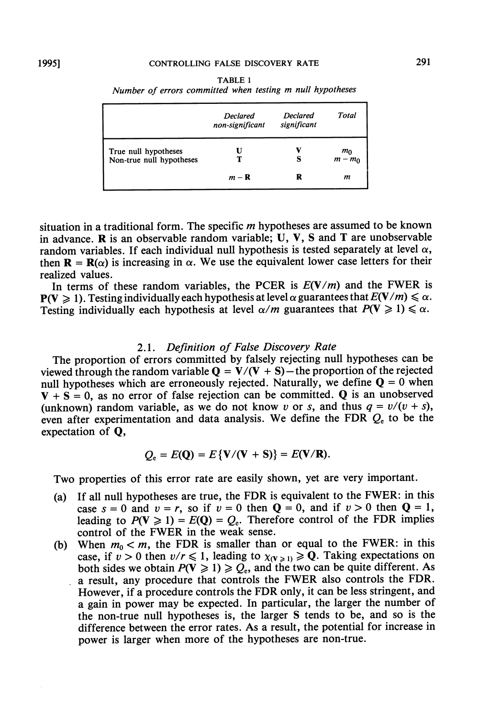**TABLE 1** 

Number of errors committed when testing m null hypotheses

|                          | <b>Declared</b><br>non-significant | <b>Declared</b><br>significant | Total       |
|--------------------------|------------------------------------|--------------------------------|-------------|
| True null hypotheses     |                                    |                                | $m_{\rm O}$ |
| Non-true null hypotheses |                                    | o                              | $m - m_0$   |
|                          | $m - R$                            | R                              | m           |

situation in a traditional form. The specific  $m$  hypotheses are assumed to be known in advance.  $\bf{R}$  is an observable random variable; U, V, S and T are unobservable random variables. If each individual null hypothesis is tested separately at level  $\alpha$ , then  $\mathbf{R} = \mathbf{R}(\alpha)$  is increasing in  $\alpha$ . We use the equivalent lower case letters for their realized values.

In terms of these random variables, the PCER is  $E(V/m)$  and the FWER is  $P(V \ge 1)$ . Testing individually each hypothesis at level  $\alpha$  guarantees that  $E(V/m) \le \alpha$ . Testing individually each hypothesis at level  $\alpha/m$  guarantees that  $P(V \ge 1) \le \alpha$ .

# 2.1. Definition of False Discovery Rate

The proportion of errors committed by falsely rejecting null hypotheses can be viewed through the random variable  $Q = V/(V + S)$  – the proportion of the rejected null hypotheses which are erroneously rejected. Naturally, we define  $Q = 0$  when  $V + S = 0$ , as no error of false rejection can be committed. Q is an unobserved (unknown) random variable, as we do not know v or s, and thus  $q = v/(v + s)$ , even after experimentation and data analysis. We define the FDR  $Q_{e}$  to be the expectation of  $\mathbf{0}$ .

$$
Q_e = E(Q) = E{V/(V + S)} = E(V/R).
$$

Two properties of this error rate are easily shown, yet are very important.

- If all null hypotheses are true, the FDR is equivalent to the FWER: in this  $(a)$ case  $s = 0$  and  $v = r$ , so if  $v = 0$  then  $Q = 0$ , and if  $v > 0$  then  $Q = 1$ , leading to  $P(V \ge 1) = E(Q) = Q_e$ . Therefore control of the FDR implies control of the FWER in the weak sense.
- When  $m_0 < m$ , the FDR is smaller than or equal to the FWER: in this (b) case, if  $v > 0$  then  $v/r \le 1$ , leading to  $\chi_{(v \ge 1)} \ge 0$ . Taking expectations on both sides we obtain  $P(V \ge 1) \ge Q_e$ , and the two can be quite different. As a result, any procedure that controls the FWER also controls the FDR. However, if a procedure controls the FDR only, it can be less stringent, and a gain in power may be expected. In particular, the larger the number of the non-true null hypotheses is, the larger S tends to be, and so is the difference between the error rates. As a result, the potential for increase in power is larger when more of the hypotheses are non-true.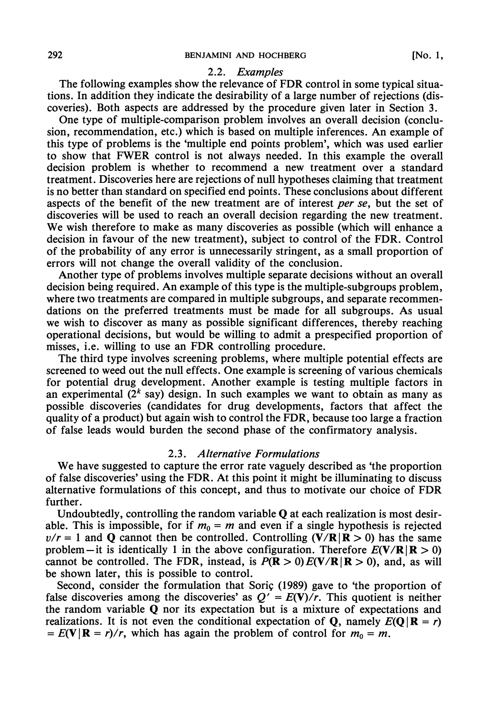#### Examples  $2.2.$

The following examples show the relevance of FDR control in some typical situations. In addition they indicate the desirability of a large number of rejections (discoveries). Both aspects are addressed by the procedure given later in Section 3.

One type of multiple-comparison problem involves an overall decision (conclusion, recommendation, etc.) which is based on multiple inferences. An example of this type of problems is the 'multiple end points problem', which was used earlier to show that FWER control is not always needed. In this example the overall decision problem is whether to recommend a new treatment over a standard treatment. Discoveries here are rejections of null hypotheses claiming that treatment is no better than standard on specified end points. These conclusions about different aspects of the benefit of the new treatment are of interest per se, but the set of discoveries will be used to reach an overall decision regarding the new treatment. We wish therefore to make as many discoveries as possible (which will enhance a decision in favour of the new treatment), subject to control of the FDR. Control of the probability of any error is unnecessarily stringent, as a small proportion of errors will not change the overall validity of the conclusion.

Another type of problems involves multiple separate decisions without an overall decision being required. An example of this type is the multiple-subgroups problem. where two treatments are compared in multiple subgroups, and separate recommendations on the preferred treatments must be made for all subgroups. As usual we wish to discover as many as possible significant differences, thereby reaching operational decisions, but would be willing to admit a prespecified proportion of misses, *i.e.* willing to use an FDR controlling procedure.

The third type involves screening problems, where multiple potential effects are screened to weed out the null effects. One example is screening of various chemicals for potential drug development. Another example is testing multiple factors in an experimental  $(2^k$  say) design. In such examples we want to obtain as many as possible discoveries (candidates for drug developments, factors that affect the quality of a product) but again wish to control the FDR, because too large a fraction of false leads would burden the second phase of the confirmatory analysis.

## 2.3. Alternative Formulations

We have suggested to capture the error rate vaguely described as 'the proportion of false discoveries' using the FDR. At this point it might be illuminating to discuss alternative formulations of this concept, and thus to motivate our choice of FDR further.

Undoubtedly, controlling the random variable  $\bf{Q}$  at each realization is most desirable. This is impossible, for if  $m_0 = m$  and even if a single hypothesis is rejected  $v/r = 1$  and Q cannot then be controlled. Controlling (V/R|R > 0) has the same problem – it is identically 1 in the above configuration. Therefore  $E(V/R | R > 0)$ cannot be controlled. The FDR, instead, is  $P(\mathbf{R} > 0) E(\mathbf{V}/\mathbf{R} | \mathbf{R} > 0)$ , and, as will be shown later, this is possible to control.

Second, consider the formulation that Soric (1989) gave to 'the proportion of false discoveries among the discoveries' as  $Q' = E(V)/r$ . This quotient is neither the random variable  $Q$  nor its expectation but is a mixture of expectations and realizations. It is not even the conditional expectation of **Q**, namely  $E(\mathbf{Q} | \mathbf{R} = r)$ =  $E(V | R = r)/r$ , which has again the problem of control for  $m_0 = m$ .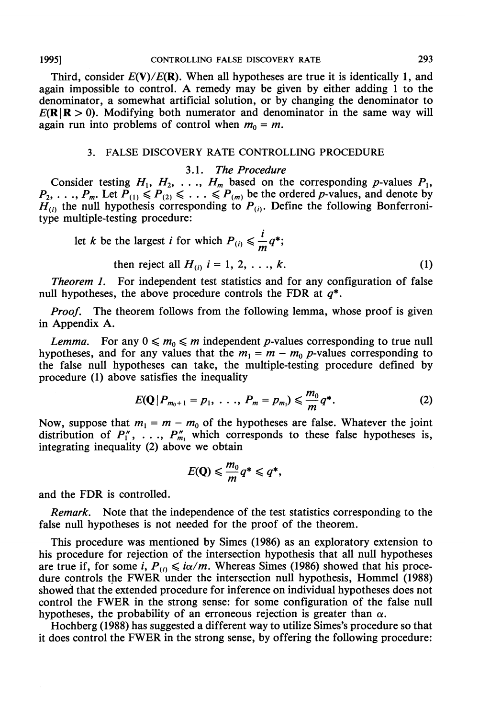19951

Third, consider  $E(V)/E(R)$ . When all hypotheses are true it is identically 1, and again impossible to control. A remedy may be given by either adding 1 to the denominator, a somewhat artificial solution, or by changing the denominator to  $E(\mathbf{R} | \mathbf{R} > 0)$ . Modifying both numerator and denominator in the same way will again run into problems of control when  $m_0 = m$ .

# 3. FALSE DISCOVERY RATE CONTROLLING PROCEDURE

# 3.1. The Procedure

Consider testing  $H_1, H_2, \ldots, H_m$  based on the corresponding p-values  $P_1$ ,  $P_2, \ldots, P_m$ . Let  $P_{(1)} \le P_{(2)} \le \ldots \le P_{(m)}$  be the ordered p-values, and denote by  $H_{(i)}$  the null hypothesis corresponding to  $P_{(i)}$ . Define the following Bonferronitype multiple-testing procedure:

let k be the largest i for which 
$$
P_{(i)} \leq \frac{i}{m} q^*
$$
;

then reject all 
$$
H_{(i)} i = 1, 2, ..., k
$$
. (1)

*Theorem 1.* For independent test statistics and for any configuration of false null hypotheses, the above procedure controls the FDR at  $q^*$ .

*Proof.* The theorem follows from the following lemma, whose proof is given in Appendix A.

*Lemma*. For any  $0 \nleq m_0 \nleq m$  independent *p*-values corresponding to true null hypotheses, and for any values that the  $m_1 = m - m_0$  p-values corresponding to the false null hypotheses can take, the multiple-testing procedure defined by procedure (1) above satisfies the inequality

$$
E(\mathbf{Q} | P_{m_0+1} = p_1, \ldots, P_m = p_{m_1}) \leqslant \frac{m_0}{m} q^*.
$$
 (2)

Now, suppose that  $m_1 = m - m_0$  of the hypotheses are false. Whatever the joint distribution of  $P_1'', \ldots, P_{m_1}''$  which corresponds to these false hypotheses is, integrating inequality (2) above we obtain

$$
E(\mathbf{Q}) \leqslant \frac{m_0}{m} q^* \leqslant q^*,
$$

and the FDR is controlled.

Note that the independence of the test statistics corresponding to the Remark. false null hypotheses is not needed for the proof of the theorem.

This procedure was mentioned by Simes (1986) as an exploratory extension to his procedure for rejection of the intersection hypothesis that all null hypotheses are true if, for some i,  $P_{(i)} \leq i\alpha/m$ . Whereas Simes (1986) showed that his procedure controls the FWER under the intersection null hypothesis, Hommel (1988) showed that the extended procedure for inference on individual hypotheses does not control the FWER in the strong sense: for some configuration of the false null hypotheses, the probability of an erroneous rejection is greater than  $\alpha$ .

Hochberg (1988) has suggested a different way to utilize Simes's procedure so that it does control the FWER in the strong sense, by offering the following procedure: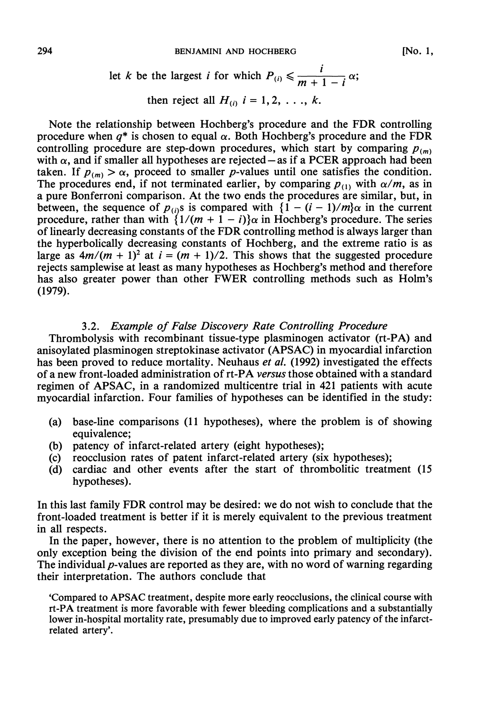let k be the largest i for which  $P_{(i)} \leq \frac{i}{m+1-i} \alpha;$ then reject all  $H_{(i)}$   $i = 1, 2, \ldots, k$ .

Note the relationship between Hochberg's procedure and the FDR controlling procedure when  $q^*$  is chosen to equal  $\alpha$ . Both Hochberg's procedure and the FDR controlling procedure are step-down procedures, which start by comparing  $p_{(m)}$ with  $\alpha$ , and if smaller all hypotheses are rejected – as if a PCER approach had been<br>taken. If  $p_{(m)} > \alpha$ , proceed to smaller p-values until one satisfies the condition.<br>The procedures end, if not terminated earlier, by a pure Bonferroni comparison. At the two ends the procedures are similar, but, in between, the sequence of  $p_{(i)}$ s is compared with  $\{1 - (i - 1)/m\}\alpha$  in the current procedure, rather than with  $\{1/(m + 1 - i)\}\alpha$  in Hochberg's procedure. The series of linearly decreasing constants of the FDR controlling method is always larger than the hyperbolically decreasing constants of Hochberg, and the extreme ratio is as large as  $4m/(m + 1)^2$  at  $i = (m + 1)/2$ . This shows that the suggested procedure rejects samplewise at least as many hypotheses as Hochberg's method and therefore has also greater power than other FWER controlling methods such as Holm's  $(1979).$ 

#### **Example of False Discovery Rate Controlling Procedure**  $3.2.$

Thrombolysis with recombinant tissue-type plasminogen activator (rt-PA) and anisovlated plasminogen streptokinase activator (APSAC) in myocardial infarction has been proved to reduce mortality. Neuhaus et al. (1992) investigated the effects of a new front-loaded administration of rt-PA versus those obtained with a standard regimen of APSAC, in a randomized multicentre trial in 421 patients with acute myocardial infarction. Four families of hypotheses can be identified in the study:

- base-line comparisons (11 hypotheses), where the problem is of showing  $(a)$ equivalence:
- patency of infarct-related artery (eight hypotheses);  $(b)$
- reocclusion rates of patent infarct-related artery (six hypotheses);  $\left( c\right)$
- (d) cardiac and other events after the start of thrombolitic treatment (15) hypotheses).

In this last family FDR control may be desired: we do not wish to conclude that the front-loaded treatment is better if it is merely equivalent to the previous treatment in all respects.

In the paper, however, there is no attention to the problem of multiplicity (the only exception being the division of the end points into primary and secondary). The individual  $p$ -values are reported as they are, with no word of warning regarding their interpretation. The authors conclude that

'Compared to APSAC treatment, despite more early reocclusions, the clinical course with rt-PA treatment is more favorable with fewer bleeding complications and a substantially lower in-hospital mortality rate, presumably due to improved early patency of the infarctrelated artery'.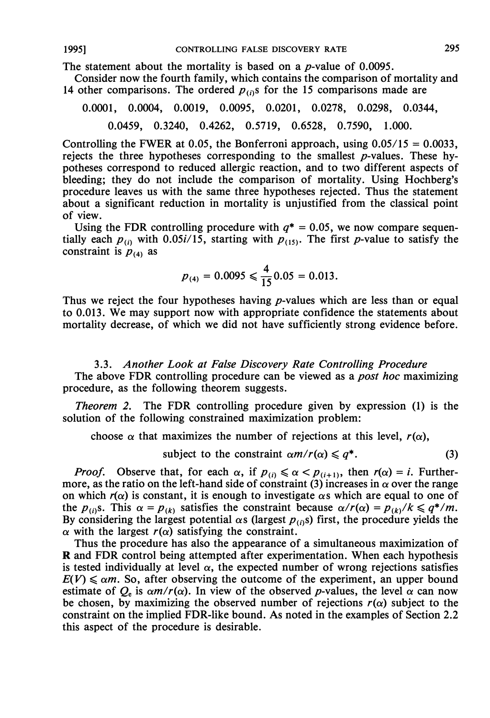The statement about the mortality is based on a  $p$ -value of 0.0095.

Consider now the fourth family, which contains the comparison of mortality and 14 other comparisons. The ordered  $p_{(i)}$ s for the 15 comparisons made are

 $0.0001, 0.0004, 0.0019, 0.0095, 0.0201, 0.0278, 0.0298, 0.0344,$  $0.0459, 0.3240, 0.4262, 0.5719, 0.6528, 0.7590,$ 1.000.

Controlling the FWER at 0.05, the Bonferroni approach, using  $0.05/15 = 0.0033$ , rejects the three hypotheses corresponding to the smallest  $p$ -values. These hypotheses correspond to reduced allergic reaction, and to two different aspects of bleeding; they do not include the comparison of mortality. Using Hochberg's procedure leaves us with the same three hypotheses rejected. Thus the statement about a significant reduction in mortality is unjustified from the classical point of view.

Using the FDR controlling procedure with  $q^* = 0.05$ , we now compare sequentially each  $p_{(i)}$  with 0.05i/15, starting with  $p_{(15)}$ . The first p-value to satisfy the constraint is  $p_{(4)}$  as

$$
p_{(4)} = 0.0095 \leq \frac{4}{15} 0.05 = 0.013.
$$

Thus we reject the four hypotheses having  $p$ -values which are less than or equal to 0.013. We may support now with appropriate confidence the statements about mortality decrease, of which we did not have sufficiently strong evidence before.

#### Another Look at False Discovery Rate Controlling Procedure  $3.3.$

The above FDR controlling procedure can be viewed as a *post hoc* maximizing procedure, as the following theorem suggests.

*Theorem 2.* The FDR controlling procedure given by expression (1) is the solution of the following constrained maximization problem:

choose  $\alpha$  that maximizes the number of rejections at this level,  $r(\alpha)$ ,

subject to the constraint  $\alpha m/r(\alpha) \leqslant q^*$ .  $(3)$ 

*Proof.* Observe that, for each  $\alpha$ , if  $p_{(i)} \le \alpha < p_{(i+1)}$ , then  $r(\alpha) = i$ . Furthermore, as the ratio on the left-hand side of constraint (3) increases in  $\alpha$  over the range on which  $r(\alpha)$  is constant, it is enough to investigate  $\alpha$ s which are equal to one of the  $p_{(i)}$ s. This  $\alpha = p_{(k)}$  satisfies the constraint because  $\alpha/r(\alpha) = p_{(k)}/k \leq q^*/m$ . By considering the largest potential  $\alpha s$  (largest  $p_{(i)}s$ ) first, the procedure yields the  $\alpha$  with the largest  $r(\alpha)$  satisfying the constraint.

Thus the procedure has also the appearance of a simultaneous maximization of R and FDR control being attempted after experimentation. When each hypothesis is tested individually at level  $\alpha$ , the expected number of wrong rejections satisfies  $E(V) \le \alpha m$ . So, after observing the outcome of the experiment, an upper bound estimate of  $Q_e$  is  $\alpha m/r(\alpha)$ . In view of the observed p-values, the level  $\alpha$  can now be chosen, by maximizing the observed number of rejections  $r(\alpha)$  subject to the constraint on the implied FDR-like bound. As noted in the examples of Section 2.2 this aspect of the procedure is desirable.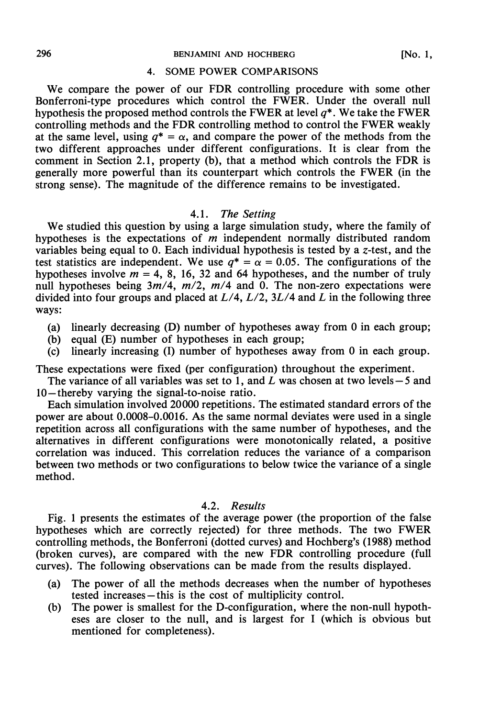### **BENJAMINI AND HOCHBERG**

#### **SOME POWER COMPARISONS** 4.

We compare the power of our FDR controlling procedure with some other Bonferroni-type procedures which control the FWER. Under the overall null hypothesis the proposed method controls the FWER at level  $q^*$ . We take the FWER controlling methods and the FDR controlling method to control the FWER weakly at the same level, using  $q^* = \alpha$ , and compare the power of the methods from the two different approaches under different configurations. It is clear from the comment in Section 2.1, property (b), that a method which controls the FDR is generally more powerful than its counterpart which controls the FWER (in the strong sense). The magnitude of the difference remains to be investigated.

#### $4.1.$ The Setting

We studied this question by using a large simulation study, where the family of hypotheses is the expectations of  $m$  independent normally distributed random variables being equal to 0. Each individual hypothesis is tested by a  $z$ -test, and the test statistics are independent. We use  $q^* = \alpha = 0.05$ . The configurations of the hypotheses involve  $m = 4$ , 8, 16, 32 and 64 hypotheses, and the number of truly null hypotheses being  $3m/4$ ,  $m/2$ ,  $m/4$  and 0. The non-zero expectations were divided into four groups and placed at  $L/4$ ,  $L/2$ ,  $3L/4$  and L in the following three ways:

linearly decreasing (D) number of hypotheses away from 0 in each group;  $(a)$ 

equal (E) number of hypotheses in each group; (b)

linearly increasing (I) number of hypotheses away from 0 in each group.  $(c)$ 

These expectations were fixed (per configuration) throughout the experiment.

The variance of all variables was set to 1, and L was chosen at two levels  $-5$  and 10-thereby varying the signal-to-noise ratio.

Each simulation involved 20000 repetitions. The estimated standard errors of the power are about 0.0008–0.0016. As the same normal deviates were used in a single repetition across all configurations with the same number of hypotheses, and the alternatives in different configurations were monotonically related, a positive correlation was induced. This correlation reduces the variance of a comparison between two methods or two configurations to below twice the variance of a single method.

### 4.2. Results

Fig. 1 presents the estimates of the average power (the proportion of the false hypotheses which are correctly rejected) for three methods. The two FWER controlling methods, the Bonferroni (dotted curves) and Hochberg's (1988) method (broken curves), are compared with the new FDR controlling procedure (full curves). The following observations can be made from the results displayed.

- The power of all the methods decreases when the number of hypotheses  $(a)$ tested increases – this is the cost of multiplicity control.
- The power is smallest for the D-configuration, where the non-null hypoth-(b) eses are closer to the null, and is largest for I (which is obvious but mentioned for completeness).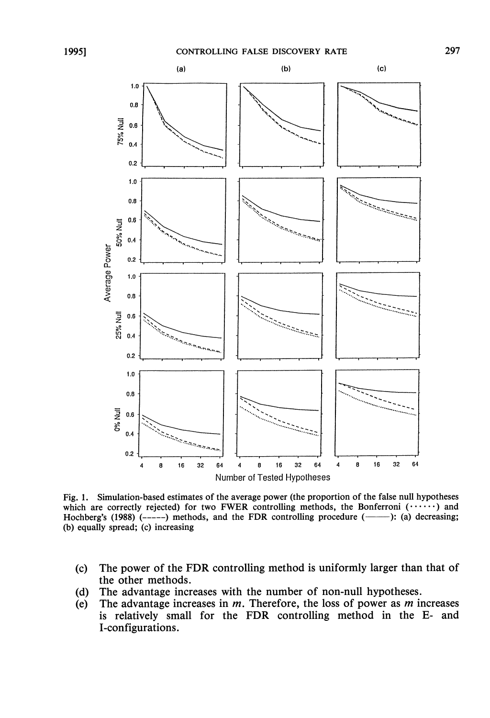

Fig. 1. Simulation-based estimates of the average power (the proportion of the false null hypotheses which are correctly rejected) for two FWER controlling methods, the Bonferroni (......) and Hochberg's (1988) (-----) methods, and the FDR controlling procedure (----): (a) decreasing; (b) equally spread; (c) increasing

- The power of the FDR controlling method is uniformly larger than that of  $(c)$ the other methods.
- The advantage increases with the number of non-null hypotheses.  $(d)$
- The advantage increases in  $m$ . Therefore, the loss of power as  $m$  increases  $(e)$ is relatively small for the FDR controlling method in the E- and I-configurations.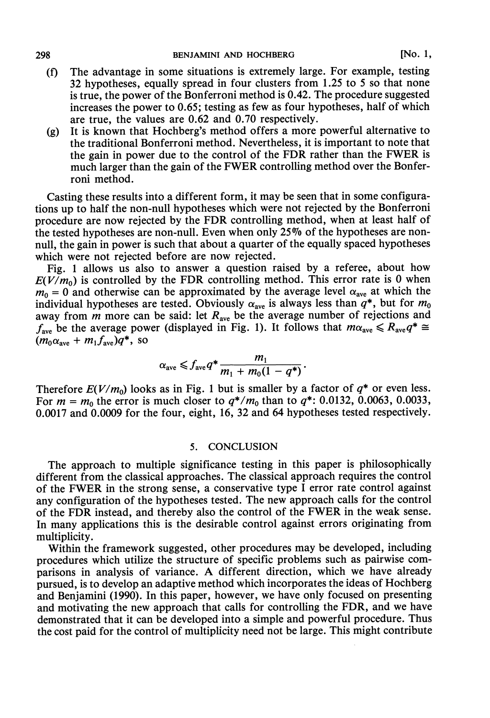- The advantage in some situations is extremely large. For example, testing  $(f)$ 32 hypotheses, equally spread in four clusters from 1.25 to 5 so that none is true, the power of the Bonferroni method is 0.42. The procedure suggested increases the power to 0.65; testing as few as four hypotheses, half of which are true, the values are 0.62 and 0.70 respectively.
- It is known that Hochberg's method offers a more powerful alternative to (g) the traditional Bonferroni method. Nevertheless, it is important to note that the gain in power due to the control of the FDR rather than the FWER is much larger than the gain of the FWER controlling method over the Bonferroni method.

Casting these results into a different form, it may be seen that in some configurations up to half the non-null hypotheses which were not rejected by the Bonferroni procedure are now rejected by the FDR controlling method, when at least half of the tested hypotheses are non-null. Even when only  $25\%$  of the hypotheses are nonnull, the gain in power is such that about a quarter of the equally spaced hypotheses which were not rejected before are now rejected.

Fig. 1 allows us also to answer a question raised by a referee, about how  $E(V/m_0)$  is controlled by the FDR controlling method. This error rate is 0 when  $m_0 = 0$  and otherwise can be approximated by the average level  $\alpha_{ave}$  at which the individual hypotheses are tested. Obviously  $\alpha_{ave}$  is always less than  $q^*$ , but for  $m_0$ away from *m* more can be said: let  $R_{ave}$  be the average number of rejections and  $f_{ave}$  be the average power (displayed in Fig. 1). It follows that  $m\alpha_{ave} \le R_{ave}q^* \cong$  $(m_0\alpha_{\text{ave}} + m_1f_{\text{ave}})q^*$ , so

$$
\alpha_{\text{ave}} \leqslant f_{\text{ave}} q^* \frac{m_1}{m_1 + m_0(1 - q^*)}.
$$

Therefore  $E(V/m_0)$  looks as in Fig. 1 but is smaller by a factor of  $q^*$  or even less. For  $m = m_0$  the error is much closer to  $q^*/m_0$  than to  $q^*$ : 0.0132, 0.0063, 0.0033, 0.0017 and 0.0009 for the four, eight, 16, 32 and 64 hypotheses tested respectively.

#### **CONCLUSION** 5.

The approach to multiple significance testing in this paper is philosophically different from the classical approaches. The classical approach requires the control of the FWER in the strong sense, a conservative type I error rate control against any configuration of the hypotheses tested. The new approach calls for the control of the FDR instead, and thereby also the control of the FWER in the weak sense. In many applications this is the desirable control against errors originating from multiplicity.

Within the framework suggested, other procedures may be developed, including procedures which utilize the structure of specific problems such as pairwise comparisons in analysis of variance. A different direction, which we have already pursued, is to develop an adaptive method which incorporates the ideas of Hochberg and Benjamini (1990). In this paper, however, we have only focused on presenting and motivating the new approach that calls for controlling the FDR, and we have demonstrated that it can be developed into a simple and powerful procedure. Thus the cost paid for the control of multiplicity need not be large. This might contribute

298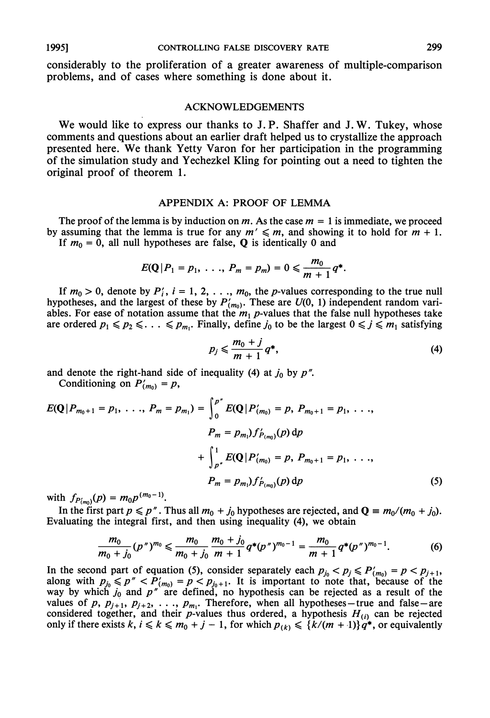considerably to the proliferation of a greater awareness of multiple-comparison problems, and of cases where something is done about it.

### **ACKNOWLEDGEMENTS**

We would like to express our thanks to J.P. Shaffer and J.W. Tukey, whose comments and questions about an earlier draft helped us to crystallize the approach presented here. We thank Yetty Varon for her participation in the programming of the simulation study and Yechezkel Kling for pointing out a need to tighten the original proof of theorem 1.

## APPENDIX A: PROOF OF LEMMA

The proof of the lemma is by induction on m. As the case  $m = 1$  is immediate, we proceed by assuming that the lemma is true for any  $m' \leq m$ , and showing it to hold for  $m + 1$ . If  $m_0 = 0$ , all null hypotheses are false, **Q** is identically 0 and

$$
E(\mathbf{Q} | P_1 = p_1, \ldots, P_m = p_m) = 0 \leqslant \frac{m_0}{m+1} q^*.
$$

If  $m_0 > 0$ , denote by  $P'_i$ ,  $i = 1, 2, \ldots, m_0$ , the *p*-values corresponding to the true null hypotheses, and the largest of these by  $P'_{(m_0)}$ . These are  $U(0, 1)$  independent random variables. For ease of notation assume that the  $m_1$  p-values that the false null hypotheses take are ordered  $p_1 \leqslant p_2 \leqslant \ldots \leqslant p_{m_1}$ . Finally, define  $j_0$  to be the largest  $0 \leqslant j \leqslant m_1$  satisfying

$$
p_j \leqslant \frac{m_0 + j}{m + 1} q^*,\tag{4}
$$

and denote the right-hand side of inequality (4) at  $j_0$  by  $p''$ .

Conditioning on  $P'_{(m_0)} = p$ ,

$$
E(\mathbf{Q} | P_{m_0+1} = p_1, \ldots, P_m = p_{m_1}) = \int_0^{p^{\prime\prime}} E(\mathbf{Q} | P'_{(m_0)} = p, P_{m_0+1} = p_1, \ldots, P_m = p_{m_1}) f'_{P_{(m_0)}}(p) dp
$$
  
+ 
$$
\int_{p^{\prime}}^1 E(\mathbf{Q} | P'_{(m_0)} = p, P_{m_0+1} = p_1, \ldots, P_m = p_{m_1}) f'_{P_{(m_0)}}(p) dp
$$
 (5)

with  $f_{P(m_0)}(p) = m_0 p^{(m_0-1)}$ .

In the first part  $p \leq p''$ . Thus all  $m_0 + j_0$  hypotheses are rejected, and  $\mathbf{Q} \equiv m_0/(m_0 + j_0)$ . Evaluating the integral first, and then using inequality (4), we obtain

$$
\frac{m_0}{m_0+j_0}(p'')^{m_0}\leqslant\frac{m_0}{m_0+j_0}\frac{m_0+j_0}{m+1}q^*(p'')^{m_0-1}=\frac{m_0}{m+1}q^*(p'')^{m_0-1}.\tag{6}
$$

In the second part of equation (5), consider separately each  $p_{j_0} < p_j \le P'_{(m_0)} = p < p_{j+1}$ , along with  $p_{j_0} \le p'' < \hat{P}_{(m_0)}' = p < p_{j_0+1}$ . It is important to note that, because of the way by which  $j_0$  and  $p''$  are defined, no hypothesis can be rejected as a result of the values of p,  $p_{j+1}, p_{j+2}, \ldots, p_{m_1}$ . Therefore, when all hypotheses—true and false—are considered together, and their p-values thus ordered, a hypothesis  $H_{(i)}$  can be rejected only if there exists  $k, i \leq k \leq m_0 + j - 1$ , for which  $p_{(k)} \leq \{k/(m+1)\}\dot{q}^*$ , or equivalently